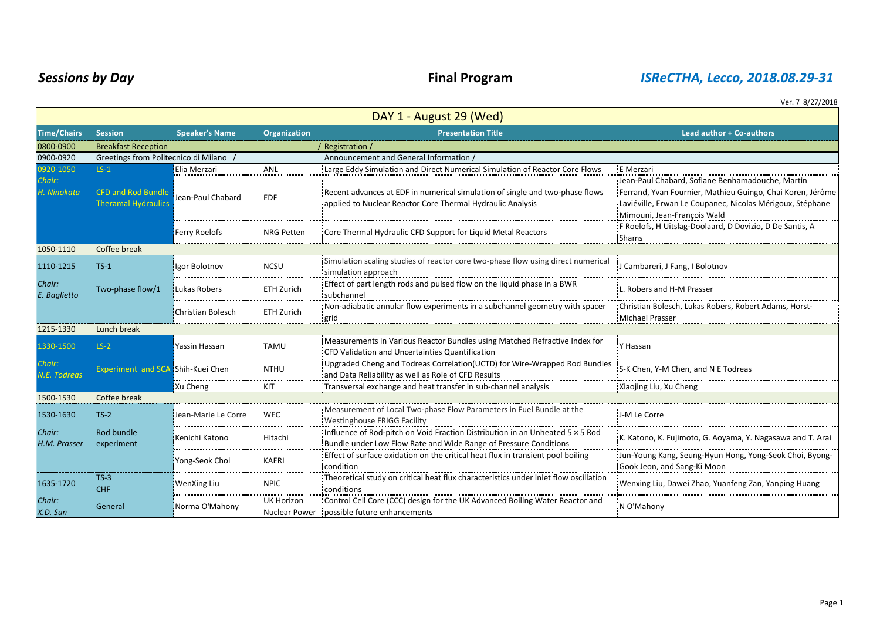## *Sessions by Day* **Final Program** *ISReCTHA, Lecco, 2018.08.29-31*

Ver. 7 8/27/2018

| DAY 1 - August 29 (Wed) |                                                         |                       |                             |                                                                                                                                                   |                                                                                                                                                                                                            |  |  |
|-------------------------|---------------------------------------------------------|-----------------------|-----------------------------|---------------------------------------------------------------------------------------------------------------------------------------------------|------------------------------------------------------------------------------------------------------------------------------------------------------------------------------------------------------------|--|--|
| <b>Time/Chairs</b>      | <b>Session</b>                                          | <b>Speaker's Name</b> | <b>Organization</b>         | <b>Presentation Title</b>                                                                                                                         | <b>Lead author + Co-authors</b>                                                                                                                                                                            |  |  |
| 0800-0900               | <b>Breakfast Reception</b><br>Registration /            |                       |                             |                                                                                                                                                   |                                                                                                                                                                                                            |  |  |
| 0900-0920               | Greetings from Politecnico di Milano                    |                       |                             | Announcement and General Information                                                                                                              |                                                                                                                                                                                                            |  |  |
| 0920-1050               | $LS-1$                                                  | Elia Merzari          | ANL                         | Large Eddy Simulation and Direct Numerical Simulation of Reactor Core Flows                                                                       | E Merzari                                                                                                                                                                                                  |  |  |
| Chair:<br>H. Ninokata   | <b>CFD and Rod Bundle</b><br><b>Theramal Hydraulics</b> | Jean-Paul Chabard     | <b>EDF</b>                  | Recent advances at EDF in numerical simulation of single and two-phase flows<br>applied to Nuclear Reactor Core Thermal Hydraulic Analysis        | Jean-Paul Chabard, Sofiane Benhamadouche, Martin<br>Ferrand, Yvan Fournier, Mathieu Guingo, Chai Koren, Jérôme<br>Laviéville, Erwan Le Coupanec, Nicolas Mérigoux, Stéphane<br>Mimouni, Jean-François Wald |  |  |
|                         |                                                         | Ferry Roelofs         | <b>NRG Petten</b>           | Core Thermal Hydraulic CFD Support for Liquid Metal Reactors                                                                                      | F Roelofs, H Uitslag-Doolaard, D Dovizio, D De Santis, A<br><b>Shams</b>                                                                                                                                   |  |  |
| 1050-1110               | Coffee break                                            |                       |                             |                                                                                                                                                   |                                                                                                                                                                                                            |  |  |
| 1110-1215               | $TS-1$                                                  | Igor Bolotnov         | <b>NCSU</b>                 | Simulation scaling studies of reactor core two-phase flow using direct numerical<br>simulation approach                                           | J Cambareri, J Fang, I Bolotnov                                                                                                                                                                            |  |  |
| Chair:<br>E. Baglietto  | Two-phase flow/1                                        | Lukas Robers          | <b>ETH Zurich</b>           | Effect of part length rods and pulsed flow on the liquid phase in a BWR<br>subchannel                                                             | L. Robers and H-M Prasser                                                                                                                                                                                  |  |  |
|                         |                                                         | Christian Bolesch     | <b>ETH Zurich</b>           | Non-adiabatic annular flow experiments in a subchannel geometry with spacer<br>grid                                                               | Christian Bolesch, Lukas Robers, Robert Adams, Horst-<br><b>Michael Prasser</b>                                                                                                                            |  |  |
| 1215-1330               | Lunch break                                             |                       |                             |                                                                                                                                                   |                                                                                                                                                                                                            |  |  |
| 1330-1500               | $LS-2$                                                  | rassin Hassan         | <b>TAMU</b>                 | Measurements in Various Reactor Bundles using Matched Refractive Index for<br>CFD Validation and Uncertainties Quantification                     | Y Hassan                                                                                                                                                                                                   |  |  |
| Chair:<br>N.E. Todreas  | Experiment and SCA Shih-Kuei Chen                       |                       | <b>NTHU</b>                 | Upgraded Cheng and Todreas Correlation (UCTD) for Wire-Wrapped Rod Bundles<br>and Data Reliability as well as Role of CFD Results                 | S-K Chen, Y-M Chen, and N E Todreas                                                                                                                                                                        |  |  |
|                         |                                                         | Xu Cheng              | KIT                         | Transversal exchange and heat transfer in sub-channel analysis                                                                                    | Xiaojing Liu, Xu Cheng                                                                                                                                                                                     |  |  |
| 1500-1530               | Coffee break                                            |                       |                             |                                                                                                                                                   |                                                                                                                                                                                                            |  |  |
| 1530-1630               | $TS-2$                                                  | Jean-Marie Le Corre   | <b>WEC</b>                  | Measurement of Local Two-phase Flow Parameters in Fuel Bundle at the<br>Westinghouse FRIGG Facility                                               | J-M Le Corre                                                                                                                                                                                               |  |  |
| Chair:<br>H.M. Prasser  | Rod bundle<br>experiment                                | Kenichi Katono        | Hitachi                     | Influence of Rod-pitch on Void Fraction Distribution in an Unheated 5 × 5 Rod<br>Bundle under Low Flow Rate and Wide Range of Pressure Conditions | K. Katono, K. Fujimoto, G. Aoyama, Y. Nagasawa and T. Arai                                                                                                                                                 |  |  |
|                         |                                                         | Yong-Seok Choi        | KAERI                       | Effect of surface oxidation on the critical heat flux in transient pool boiling<br>condition                                                      | Jun-Young Kang, Seung-Hyun Hong, Yong-Seok Choi, Byong-<br>Gook Jeon, and Sang-Ki Moon                                                                                                                     |  |  |
| 1635-1720               | $TS-3$<br><b>CHF</b>                                    | WenXing Liu           | <b>NPIC</b>                 | Theoretical study on critical heat flux characteristics under inlet flow oscillation<br>conditions                                                | Wenxing Liu, Dawei Zhao, Yuanfeng Zan, Yanping Huang                                                                                                                                                       |  |  |
| Chair:<br>X.D. Sun      | General                                                 | Norma O'Mahony        | UK Horizon<br>Nuclear Power | Control Cell Core (CCC) design for the UK Advanced Boiling Water Reactor and<br>possible future enhancements                                      | N O'Mahony                                                                                                                                                                                                 |  |  |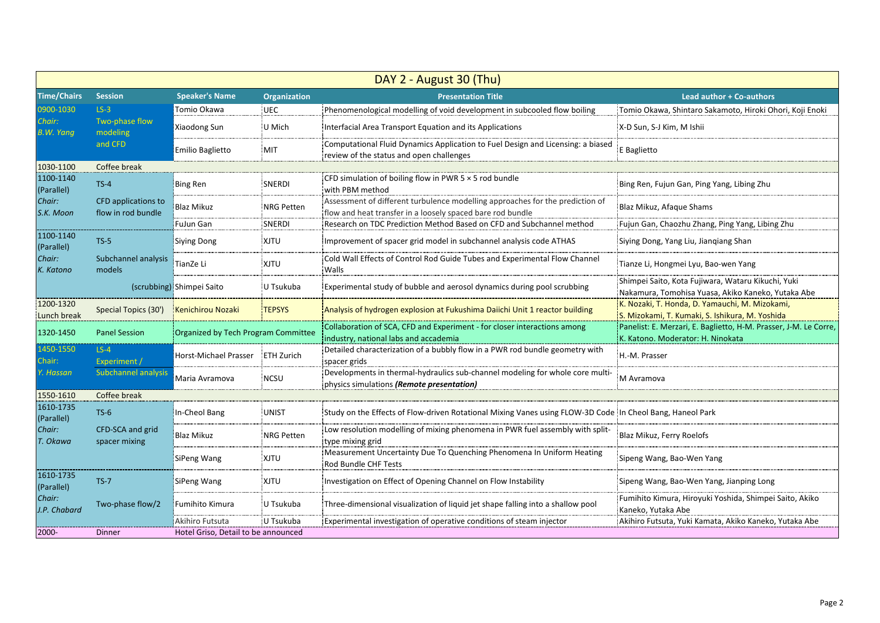| DAY 2 - August 30 (Thu) |                                           |                                     |                     |                                                                                                                                             |                                                                                                          |  |  |
|-------------------------|-------------------------------------------|-------------------------------------|---------------------|---------------------------------------------------------------------------------------------------------------------------------------------|----------------------------------------------------------------------------------------------------------|--|--|
| <b>Time/Chairs</b>      | <b>Session</b>                            | <b>Speaker's Name</b>               | <b>Organization</b> | <b>Presentation Title</b>                                                                                                                   | <b>Lead author + Co-authors</b>                                                                          |  |  |
| 0900-1030               | $LS-3$                                    | Tomio Okawa                         | <b>UEC</b>          | Phenomenological modelling of void development in subcooled flow boiling                                                                    | Tomio Okawa, Shintaro Sakamoto, Hiroki Ohori, Koji Enoki                                                 |  |  |
| Chair:<br>B.W. Yang     | Two-phase flow<br>modeling                | Xiaodong Sun                        | U Mich              | Interfacial Area Transport Equation and its Applications                                                                                    | X-D Sun, S-J Kim, M Ishii                                                                                |  |  |
|                         | and CFD                                   | <b>Emilio Baglietto</b>             | <b>MIT</b>          | Computational Fluid Dynamics Application to Fuel Design and Licensing: a biased<br>review of the status and open challenges                 | E Baglietto                                                                                              |  |  |
| 1030-1100               | Coffee break                              |                                     |                     |                                                                                                                                             |                                                                                                          |  |  |
| 1100-1140<br>(Parallel) | $TS-4$                                    | Bing Ren                            | <b>SNERDI</b>       | CFD simulation of boiling flow in PWR $5 \times 5$ rod bundle<br>with PBM method                                                            | Bing Ren, Fujun Gan, Ping Yang, Libing Zhu                                                               |  |  |
| Chair:<br>S.K. Moon     | CFD applications to<br>flow in rod bundle | <b>Blaz Mikuz</b>                   | <b>NRG Petten</b>   | Assessment of different turbulence modelling approaches for the prediction of<br>flow and heat transfer in a loosely spaced bare rod bundle | Blaz Mikuz, Afaque Shams                                                                                 |  |  |
|                         |                                           | FuJun Gan                           | SNERDI              | Research on TDC Prediction Method Based on CFD and Subchannel method                                                                        | Fujun Gan, Chaozhu Zhang, Ping Yang, Libing Zhu                                                          |  |  |
| 1100-1140<br>(Parallel) | $TS-5$                                    | <b>Siying Dong</b>                  | XJTU                | Improvement of spacer grid model in subchannel analysis code ATHAS                                                                          | Siying Dong, Yang Liu, Jiangiang Shan                                                                    |  |  |
| Chair:<br>K. Katono     | Subchannel analysis<br>models             | TianZe Li                           | XJTU                | Cold Wall Effects of Control Rod Guide Tubes and Experimental Flow Channel<br>Walls                                                         | Tianze Li, Hongmei Lyu, Bao-wen Yang                                                                     |  |  |
|                         |                                           | (scrubbing) Shimpei Saito           | U Tsukuba           | Experimental study of bubble and aerosol dynamics during pool scrubbing                                                                     | Shimpei Saito, Kota Fujiwara, Wataru Kikuchi, Yuki<br>Nakamura, Tomohisa Yuasa, Akiko Kaneko, Yutaka Abe |  |  |
| 1200-1320<br>unch break | Special Topics (30')                      | <b>Kenichirou Nozaki</b>            | <b>TEPSYS</b>       | Analysis of hydrogen explosion at Fukushima Daiichi Unit 1 reactor building                                                                 | K. Nozaki, T. Honda, D. Yamauchi, M. Mizokami,<br>S. Mizokami, T. Kumaki, S. Ishikura, M. Yoshida        |  |  |
| 1320-1450               | <b>Panel Session</b>                      | Organized by Tech Program Committee |                     | Collaboration of SCA, CFD and Experiment - for closer interactions among<br>industry, national labs and accademia                           | Panelist: E. Merzari, E. Baglietto, H-M. Prasser, J-M. Le Corre,<br>K. Katono. Moderator: H. Ninokata    |  |  |
| 1450-1550<br>Chair:     | $LS-4$<br>Experiment /                    | <b>Horst-Michael Prasser</b>        | <b>ETH Zurich</b>   | Detailed characterization of a bubbly flow in a PWR rod bundle geometry with<br>spacer grids                                                | H.-M. Prasser                                                                                            |  |  |
| . Hassan                | <b>Subchannel analysis</b>                | Maria Avramova                      | <b>NCSU</b>         | Developments in thermal-hydraulics sub-channel modeling for whole core multi-<br>physics simulations (Remote presentation)                  | M Avramova                                                                                               |  |  |
| 1550-1610               | Coffee break                              |                                     |                     |                                                                                                                                             |                                                                                                          |  |  |
| 1610-1735<br>(Parallel) | $TS-6$                                    | In-Cheol Bang                       | UNIST               | Study on the Effects of Flow-driven Rotational Mixing Vanes using FLOW-3D Code In Cheol Bang, Haneol Park                                   |                                                                                                          |  |  |
| Chair:<br>T. Okawa      | CFD-SCA and grid<br>spacer mixing         | <b>Blaz Mikuz</b>                   | <b>NRG Petten</b>   | Low resolution modelling of mixing phenomena in PWR fuel assembly with split-<br>type mixing grid                                           | Blaz Mikuz, Ferry Roelofs                                                                                |  |  |
|                         |                                           | SiPeng Wang                         | XJTU                | Measurement Uncertainty Due To Quenching Phenomena In Uniform Heating<br>Rod Bundle CHF Tests                                               | Sipeng Wang, Bao-Wen Yang                                                                                |  |  |
| 1610-1735<br>(Parallel) | $TS-7$                                    | SiPeng Wang                         | <b>XJTU</b>         | Investigation on Effect of Opening Channel on Flow Instability                                                                              | Sipeng Wang, Bao-Wen Yang, Jianping Long                                                                 |  |  |
| Chair:<br>J.P. Chabard  | Two-phase flow/2                          | Fumihito Kimura                     | U Tsukuba           | Three-dimensional visualization of liquid jet shape falling into a shallow pool                                                             | Fumihito Kimura, Hiroyuki Yoshida, Shimpei Saito, Akiko<br>Kaneko, Yutaka Abe                            |  |  |
|                         |                                           | Akihiro Futsuta                     | U Tsukuba           | Experimental investigation of operative conditions of steam injector                                                                        | Akihiro Futsuta, Yuki Kamata, Akiko Kaneko, Yutaka Abe                                                   |  |  |
| 2000-                   | <b>Dinner</b>                             | Hotel Griso, Detail to be announced |                     |                                                                                                                                             |                                                                                                          |  |  |